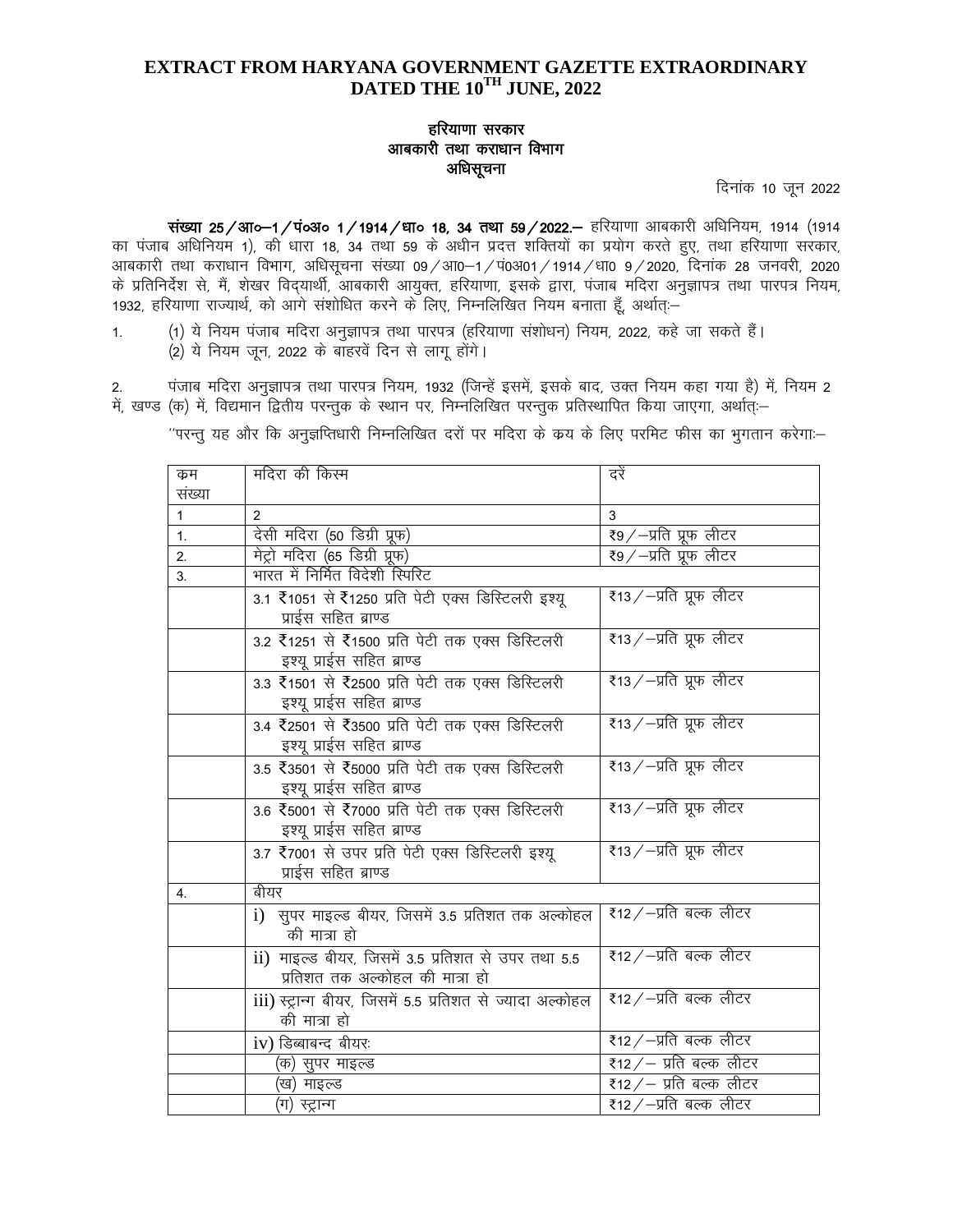# **EXTRACT FROM HARYANA GOVERNMENT GAZETTE EXTRAORDINARY DATED THE 10TH JUNE, 2022**

## हरियाणा सरकार आबकारी तथा कराधान विभाग अधिसूचना

दिनांक 10 जून 2022

संख्या 25/आ०-1/पं०अ० 1/1914/धा० 18, 34 तथा 59/2022. हरियाणा आबकारी अधिनियम, 1914 (1914 का पंजाब अधिनियम 1), की धारा 18, 34 तथा 59 के अधीन प्रदत्त शक्तियों का प्रयोग करते हुए, तथा हरियाणा सरकार, आबकारी तथा कराधान विभाग, अधिसूचना संख्या 09/आ0–1/प0अ01/1914/धा0 9/2020, दिनांक 28 जनवरी, 2020 के प्रतिनिर्देश से, मैं, शेखर विदयार्थी, आबकारी आयुक्त, हरियाणा, इसके द्वारा, पंजाब मदिरा अनुज्ञापत्र तथा पारपत्र नियम, 1932, हरियाणा राज्यार्थ, को आगे संशोधित करने के लिए, निम्नलिखित नियम बनाता हैं, अर्थात:-

1. (1) ये नियम पंजाब मदिरा अनुज्ञापत्र तथा पारपत्र (हरियाणा संशोधन) नियम, 2022, कहे जा सकते हैं। (2) ये नियम जून, 2022 के बाहरवें दिन से लागू होंगे।

2. पंजाब मदिरा अनुज्ञापत्र तथा पारपत्र नियम, 1932 (जिन्हें इसमें, इसके बाद, उक्त नियम कहा गया है) में, नियम 2 में, खण्ड (क) में, विद्यमान द्वितीय परन्तुक के स्थान पर, निम्नलिखित परन्तुक प्रतिस्थापित किया जाएगा, अर्थातः—

"परन्तु यह और कि अनुज्ञप्तिधारी निम्नलिखित दरों पर मदिरा के क्रय के लिए परमिट फीस का भुगतान करेगा:-

| क्रम         | मदिरा की किस्म                                                                        | दरें                    |
|--------------|---------------------------------------------------------------------------------------|-------------------------|
| संख्या       |                                                                                       |                         |
| $\mathbf{1}$ | 2                                                                                     | 3                       |
| 1.           | देसी मदिरा (50 डिग्री प्रूफ)                                                          | र9⁄—प्रति प्रूफ लीटर    |
| 2.           | मेट्रो मदिरा (65 डिग्री प्रूफ)                                                        | ₹9⁄—प्रति प्रूफ लीटर    |
| 3.           | भारत में निर्मित विदेशी स्पिरिट                                                       |                         |
|              | 3.1 ₹1051 से ₹1250 प्रति पेटी एक्स डिस्टिलरी इश्यू<br>प्राईस सहित ब्राण्ड             | ₹13⁄—प्रति प्रूफ लीटर   |
|              | 3.2 ₹1251 से ₹1500 प्रति पेटी तक एक्स डिस्टिलरी<br>इश्यू प्राईस सहित ब्राण्ड          | रै13/-प्रति प्रूफ लीटर  |
|              | 3.3 ₹1501 से ₹2500 प्रति पेटी तक एक्स डिस्टिलरी<br>इश्यू प्राईस सहित ब्राण्ड          | ₹13⁄—प्रति प्रूफ लीटर   |
|              | 3.4 ₹2501 से ₹3500 प्रति पेटी तक एक्स डिस्टिलरी<br>इश्यू प्राईस सहित ब्राण्ड          | र⁄ा-प्रति प्रूफ लीटर    |
|              | 3.5 ₹3501 से ₹5000 प्रति पेटी तक एक्स डिस्टिलरी<br>इश्यू प्राईस सहित ब्राण्ड          | रै13⁄−प्रति प्रूफ लीटर  |
|              | 3.6 ₹5001 से ₹7000 प्रति पेटी तक एक्स डिस्टिलरी<br>इश्यू प्राईस सहित ब्राण्ड          | रै13/-प्रति प्रूफ लीटर  |
|              | 3.7 रै7001 से उपर प्रति पेटी एक्स डिस्टिलरी इश्यू<br>प्राईस सहित ब्राण्ड              | रै13⁄−प्रति प्रूफ लीटर  |
| 4.           | बीयर                                                                                  |                         |
|              | i) सूपर माइल्ड बीयर, जिसमें 3.5 प्रतिशत तक अल्कोहल<br>की मात्रा हो                    | ₹12⁄−प्रति बल्क लीटर    |
|              | ii) माइल्ड बीयर, जिसमें 3.5 प्रतिशत से उपर तथा 5.5<br>प्रतिशत तक अल्कोहल की मात्रा हो | ₹12 ⁄ –प्रति बल्क लीटर  |
|              | iii) स्ट्रान्ग बीयर, जिसमें 5.5 प्रतिशत से ज्यादा अल्कोहल<br>की मात्रा हो             | ₹12 ⁄ –प्रति बल्क लीटर  |
|              | iv) डिब्बाबन्द बीयरः                                                                  | ₹12 ∕ –प्रति बल्क लीटर  |
|              | (क) सुपर माइल्ड                                                                       | ₹12 ⁄ – प्रति बल्क लीटर |
|              | खि) माइल्ड                                                                            | ₹12 ∕ – प्रति बल्क लीटर |
|              | (ग) स्ट्रान्ग                                                                         | ₹12 ⁄ −प्रति बल्क लीटर  |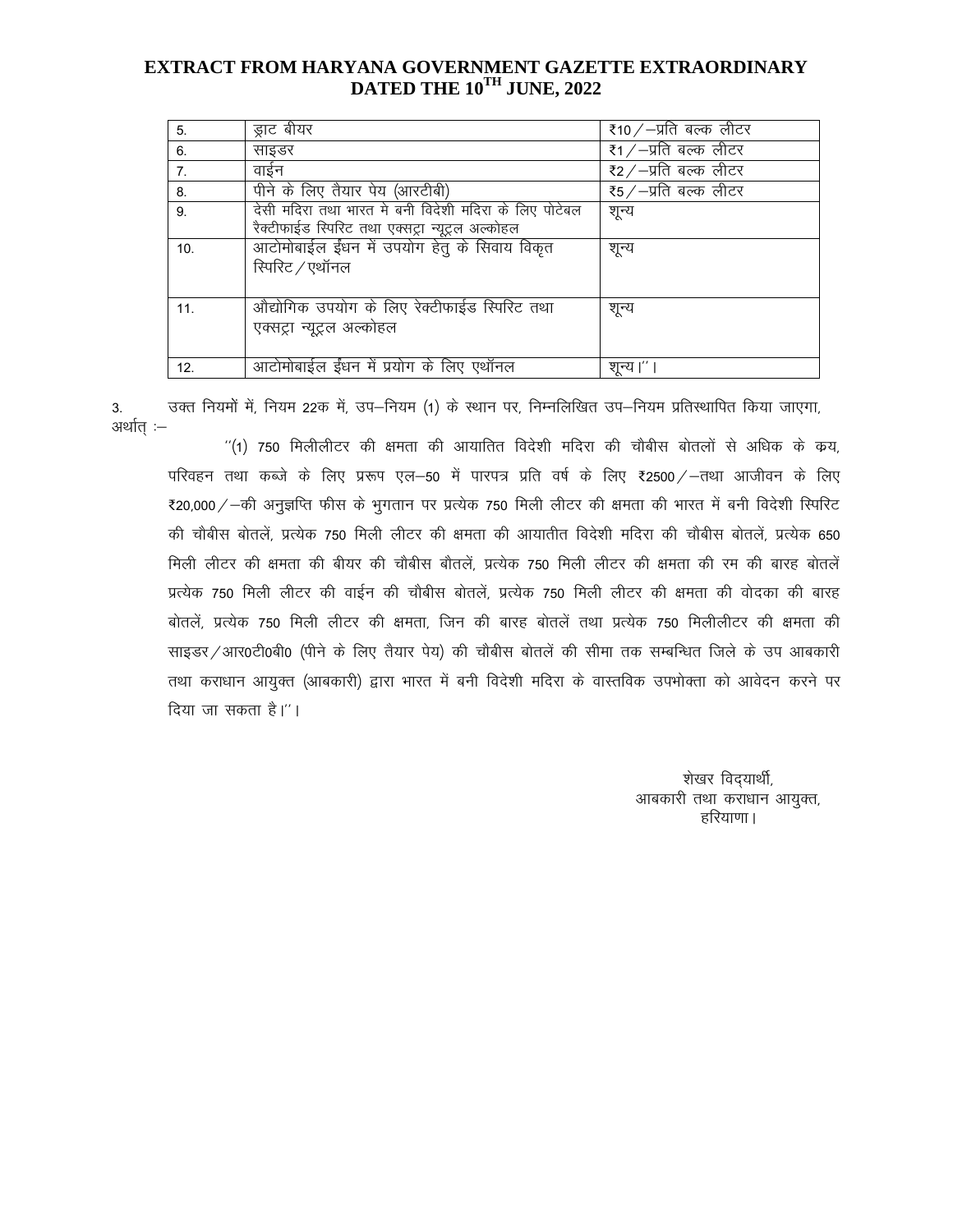## EXTRACT FROM HARYANA GOVERNMENT GAZETTE EXTRAORDINARY DATED THE 10TH JUNE, 2022

| 5.             | ड्राट बीयर                                                                                                | रै10 / $-y$ ति बल्क लीटर |
|----------------|-----------------------------------------------------------------------------------------------------------|--------------------------|
| 6.             | साइडर                                                                                                     | रै1 / –प्रति बल्क लीटर   |
| 7 <sub>1</sub> | वाईन                                                                                                      | ₹2⁄−प्रति बल्क लीटर      |
| 8.             | पीने के लिए तैयार पेय (आरटीबी)                                                                            | रै5/–प्रति बल्क लीटर     |
| 9.             | देसी मदिरा तथा भारत मे बनी विदेशी मदिरा के लिए पोटेबल<br>रैक्टीफाईड स्पिरिट तथा एक्सट्रा न्यूट्रल अल्कोहल | शून्य                    |
| 10.            | आटोमोबाईल ईंधन में उपयोग हेतु के सिवाय विकृत<br>रिपरिट / एथॉनल                                            | शून्य                    |
| 11.            | औद्योगिक उपयोग के लिए रेक्टीफाईड स्पिरिट तथा<br>एक्सट्रा न्यूट्रल अल्कोहल                                 | शून्य                    |
| 12.            | आटोमोबाईल ईंधन में प्रयोग के लिए एथॉनल                                                                    | शून्य।''                 |

उक्त नियमों में, नियम 22क में, उप-नियम (1) के स्थान पर, निम्नलिखित उप-नियम प्रतिस्थापित किया जाएगा, 3. अर्थात :–

"(1) 750 मिलीलीटर की क्षमता की आयातित विदेशी मदिरा की चौबीस बोतलों से अधिक के क्रय, परिवहन तथा कब्जे के लिए प्ररूप एल−50 में पारपत्र प्रति वर्ष के लिए ₹2500 ⁄ –तथा आजीवन के लिए ₹20,000 / -की अनुज्ञप्ति फीस के भुगतान पर प्रत्येक 750 मिली लीटर की क्षमता की भारत में बनी विदेशी स्पिरिट की चौबीस बोतलें. प्रत्येक 750 मिली लीटर की क्षमता की आयातीत विदेशी मदिरा की चौबीस बोतलें. प्रत्येक 650 मिली लीटर की क्षमता की बीयर की चौबीस बौतलें. प्रत्येक 750 मिली लीटर की क्षमता की रम की बारह बोतलें प्रत्येक 750 मिली लीटर की वाईन की चौबीस बोतलें, प्रत्येक 750 मिली लीटर की क्षमता की वोदका की बारह बोतलें. प्रत्येक 750 मिली लीटर की क्षमता. जिन की बारह बोतलें तथा प्रत्येक 750 मिलीलीटर की क्षमता की साइडर/आर0टी0बी0 (पीने के लिए तैयार पेय) की चौबीस बोतलें की सीमा तक सम्बन्धित जिले के उप आबकारी तथा कराधान आयुक्त (आबकारी) द्वारा भारत में बनी विदेशी मदिरा के वास्तविक उपभोक्ता को आवेदन करने पर दिया जा सकता है।''।

> शेखर विद्यार्थी, आबकारी तथा कराधान आयुक्त, हरियाणा ।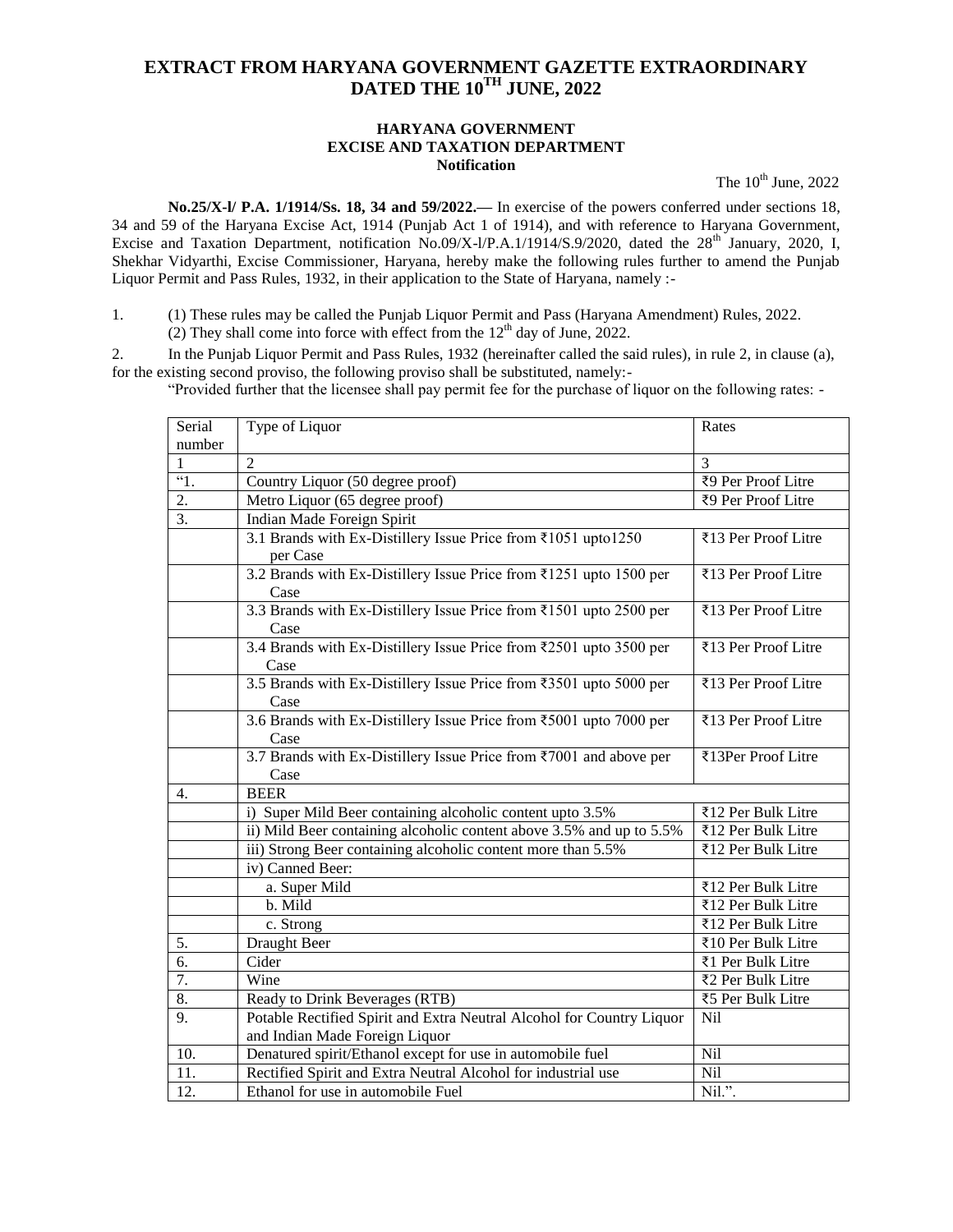# **EXTRACT FROM HARYANA GOVERNMENT GAZETTE EXTRAORDINARY DATED THE 10TH JUNE, 2022**

#### **HARYANA GOVERNMENT EXCISE AND TAXATION DEPARTMENT Notification**

The  $10^{th}$  June, 2022

**No.25/X-l/ P.A. 1/1914/Ss. 18, 34 and 59/2022.—** In exercise of the powers conferred under sections 18, 34 and 59 of the Haryana Excise Act, 1914 (Punjab Act 1 of 1914), and with reference to Haryana Government, Excise and Taxation Department, notification No.09/X-l/P.A.1/1914/S.9/2020, dated the 28<sup>th</sup> January, 2020, I, Shekhar Vidyarthi, Excise Commissioner, Haryana, hereby make the following rules further to amend the Punjab Liquor Permit and Pass Rules, 1932, in their application to the State of Haryana, namely :-

1. (1) These rules may be called the Punjab Liquor Permit and Pass (Haryana Amendment) Rules, 2022. (2) They shall come into force with effect from the  $12<sup>th</sup>$  day of June, 2022.

2. In the Punjab Liquor Permit and Pass Rules, 1932 (hereinafter called the said rules), in rule 2, in clause (a), for the existing second proviso, the following proviso shall be substituted, namely:-

"Provided further that the licensee shall pay permit fee for the purchase of liquor on the following rates: -

| Serial<br>number | Type of Liquor                                                                                          | Rates               |
|------------------|---------------------------------------------------------------------------------------------------------|---------------------|
|                  | $\mathcal{D}_{\alpha}$                                                                                  | $\mathcal{F}$       |
| $\overline{1}$ . | Country Liquor (50 degree proof)                                                                        | ₹9 Per Proof Litre  |
| 2.               | Metro Liquor (65 degree proof)                                                                          | ₹9 Per Proof Litre  |
| $\overline{3}$ . | Indian Made Foreign Spirit                                                                              |                     |
|                  | 3.1 Brands with Ex-Distillery Issue Price from ₹1051 upto1250<br>per Case                               | ₹13 Per Proof Litre |
|                  | 3.2 Brands with Ex-Distillery Issue Price from ₹1251 upto 1500 per<br>Case                              | ₹13 Per Proof Litre |
|                  | 3.3 Brands with Ex-Distillery Issue Price from ₹1501 upto 2500 per<br>Case                              | ₹13 Per Proof Litre |
|                  | 3.4 Brands with Ex-Distillery Issue Price from ₹2501 upto 3500 per<br>Case                              | ₹13 Per Proof Litre |
|                  | 3.5 Brands with Ex-Distillery Issue Price from ₹3501 upto 5000 per<br>Case                              | ₹13 Per Proof Litre |
|                  | 3.6 Brands with Ex-Distillery Issue Price from ₹5001 upto 7000 per<br>Case                              | ₹13 Per Proof Litre |
|                  | 3.7 Brands with Ex-Distillery Issue Price from ₹7001 and above per<br>Case                              | ₹13Per Proof Litre  |
| 4.               | <b>BEER</b>                                                                                             |                     |
|                  | i) Super Mild Beer containing alcoholic content upto 3.5%                                               | ₹12 Per Bulk Litre  |
|                  | ii) Mild Beer containing alcoholic content above 3.5% and up to 5.5%                                    | ₹12 Per Bulk Litre  |
|                  | iii) Strong Beer containing alcoholic content more than 5.5%                                            | ₹12 Per Bulk Litre  |
|                  | iv) Canned Beer:                                                                                        |                     |
|                  | a. Super Mild                                                                                           | ₹12 Per Bulk Litre  |
|                  | b. Mild                                                                                                 | ₹12 Per Bulk Litre  |
|                  | c. Strong                                                                                               | ₹12 Per Bulk Litre  |
| 5.               | <b>Draught Beer</b>                                                                                     | ₹10 Per Bulk Litre  |
| 6.               | Cider                                                                                                   | ₹1 Per Bulk Litre   |
| 7.               | Wine                                                                                                    | ₹2 Per Bulk Litre   |
| 8.               | Ready to Drink Beverages (RTB)                                                                          | ₹5 Per Bulk Litre   |
| $\overline{9}$ . | Potable Rectified Spirit and Extra Neutral Alcohol for Country Liquor<br>and Indian Made Foreign Liquor | Nil                 |
| 10.              | Denatured spirit/Ethanol except for use in automobile fuel                                              | Nil                 |
| 11.              | Rectified Spirit and Extra Neutral Alcohol for industrial use                                           | Nil                 |
| 12.              | Ethanol for use in automobile Fuel                                                                      | Nil.".              |